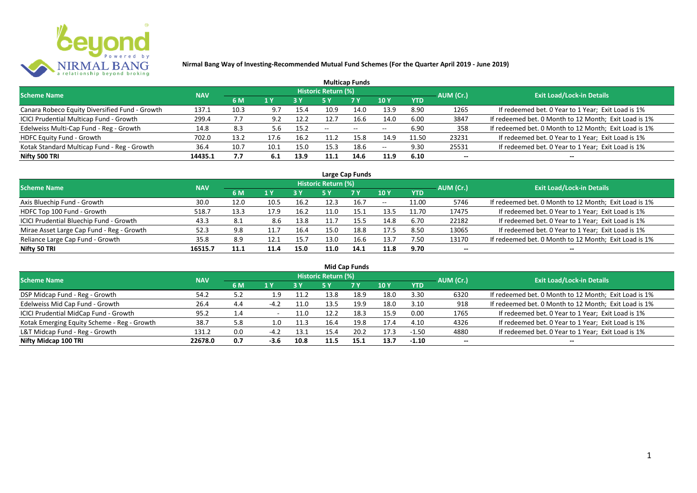

| <b>Multicap Funds</b>                          |            |      |      |      |                            |                          |                          |       |           |                                                       |  |  |  |  |
|------------------------------------------------|------------|------|------|------|----------------------------|--------------------------|--------------------------|-------|-----------|-------------------------------------------------------|--|--|--|--|
| <b>Scheme Name</b>                             | <b>NAV</b> |      |      |      | <b>Historic Return (%)</b> |                          |                          |       | AUM (Cr.) | <b>Exit Load/Lock-in Details</b>                      |  |  |  |  |
|                                                |            | 6 M  | 1 Y  |      |                            | <b>7 Y</b>               | <b>10Y</b>               | YTD   |           |                                                       |  |  |  |  |
| Canara Robeco Equity Diversified Fund - Growth | 137.1      | 10.3 | 9.7  | 15.4 | 10.9                       | 14.0                     | 13.9                     | 8.90  | 1265      | If redeemed bet. 0 Year to 1 Year; Exit Load is 1%    |  |  |  |  |
| ICICI Prudential Multicap Fund - Growth        | 299.4      |      | 9.2  | 12.2 | 12.7                       | 16.6                     | 14.0                     | 6.00  | 3847      | If redeemed bet. 0 Month to 12 Month; Exit Load is 1% |  |  |  |  |
| Edelweiss Multi-Cap Fund - Reg - Growth        | 14.8       | 8.3  | 5.b  | 15.2 | $- -$                      | $\overline{\phantom{a}}$ | $\overline{\phantom{a}}$ | 6.90  | 358       | If redeemed bet. 0 Month to 12 Month; Exit Load is 1% |  |  |  |  |
| HDFC Equity Fund - Growth                      | 702.0      | 13.2 | 17.6 | 16.2 | 11.2                       | 15.8                     | 14.9                     | 11.50 | 23231     | If redeemed bet. 0 Year to 1 Year; Exit Load is 1%    |  |  |  |  |
| Kotak Standard Multicap Fund - Reg - Growth    | 36.4       | 10.7 | 10.1 | 15.0 | 15.3                       | 18.6                     | $\overline{\phantom{a}}$ | 9.30  | 25531     | If redeemed bet. 0 Year to 1 Year; Exit Load is 1%    |  |  |  |  |
| Nifty 500 TRI                                  | 14435.1    | 7.7  | 6.1  | 13.9 | 11.1                       | 14.6                     | 11.9                     | 6.10  | $- -$     | --                                                    |  |  |  |  |

| Large Cap Funds                           |            |      |                  |      |                     |           |            |            |           |                                                       |  |  |  |
|-------------------------------------------|------------|------|------------------|------|---------------------|-----------|------------|------------|-----------|-------------------------------------------------------|--|--|--|
| Scheme Name                               | <b>NAV</b> |      |                  |      | Historic Return (%) |           |            |            | AUM (Cr.) | <b>Exit Load/Lock-in Details</b>                      |  |  |  |
|                                           |            | 6 M  | $\overline{1}$ Y |      | 5 Y                 | <b>7Y</b> | <b>10Y</b> | <b>YTD</b> |           |                                                       |  |  |  |
| Axis Bluechip Fund - Growth               | 30.0       | 12.0 | 10.5             | 16.2 | 12.3                | 16.7      | $- -$      | 11.00      | 5746      | If redeemed bet. 0 Month to 12 Month; Exit Load is 1% |  |  |  |
| HDFC Top 100 Fund - Growth                | 518.7      | 13.3 | 17.9             | 16.2 |                     | 15.1      | 13.5       | 11.70      | 17475     | If redeemed bet. 0 Year to 1 Year; Exit Load is 1%    |  |  |  |
| ICICI Prudential Bluechip Fund - Growth   | 43.3       | 8.1  | 8.6              | 13.8 |                     | 15.5      | 14.8       | 6.70       | 22182     | If redeemed bet. 0 Year to 1 Year; Exit Load is 1%    |  |  |  |
| Mirae Asset Large Cap Fund - Reg - Growth | 52.3       | 9.8  |                  | 16.4 | 15.0                | 18.8      | 17.5       | 8.50       | 13065     | If redeemed bet. 0 Year to 1 Year; Exit Load is 1%    |  |  |  |
| Reliance Large Cap Fund - Growth          | 35.8       | 8.9  | 12.1             | 15.7 | 13.0                | 16.6      | 13.7       | 7.50       | 13170     | If redeemed bet. 0 Month to 12 Month; Exit Load is 1% |  |  |  |
| Nifty 50 TRI                              | 16515.7    | 11.1 | 11.4             | 15.0 | 11.0                | 14.1      | 11.8       | 9.70       |           |                                                       |  |  |  |

| <b>Mid Cap Funds</b>                        |            |     |        |           |                            |           |      |            |           |                                                       |  |  |  |
|---------------------------------------------|------------|-----|--------|-----------|----------------------------|-----------|------|------------|-----------|-------------------------------------------------------|--|--|--|
| Scheme Name                                 | <b>NAV</b> |     |        |           | <b>Historic Return (%)</b> |           |      |            | AUM (Cr.) | <b>Exit Load/Lock-in Details</b>                      |  |  |  |
|                                             |            | 6 M | 1 Y    | <b>3Y</b> | 5 Y                        | <b>7Y</b> | 10 Y | <b>YTD</b> |           |                                                       |  |  |  |
| DSP Midcap Fund - Reg - Growth              | 54.2       | 5.2 | 1.9    | 11.2      | 13.8                       | 18.9      | 18.0 | 3.30       | 6320      | If redeemed bet. 0 Month to 12 Month; Exit Load is 1% |  |  |  |
| Edelweiss Mid Cap Fund - Growth             | 26.4       | 4.4 | $-4.2$ | 11.0      | 13.5                       | 19.9      | 18.0 | 3.10       | 918       | If redeemed bet. 0 Month to 12 Month; Exit Load is 1% |  |  |  |
| ICICI Prudential MidCap Fund - Growth       | 95.2       | 1.4 |        | 11.0      | 12.2                       | 18.3      | 15.9 | 0.00       | 1765      | If redeemed bet. 0 Year to 1 Year; Exit Load is 1%    |  |  |  |
| Kotak Emerging Equity Scheme - Reg - Growth | 38.7       | 5.8 | 1.0    | 11.3      | 16.4                       | 19.8      | 17.4 | 4.10       | 4326      | If redeemed bet. 0 Year to 1 Year; Exit Load is 1%    |  |  |  |
| L&T Midcap Fund - Reg - Growth              | 131.2      | 0.0 | $-4.2$ | 13.1      | 15.4                       | 20.2      | 17.3 | $-1.50$    | 4880      | If redeemed bet. 0 Year to 1 Year; Exit Load is 1%    |  |  |  |
| Nifty Midcap 100 TRI                        | 22678.0    | 0.7 | $-3.6$ | 10.8      | 11.5                       | 15.1      | 13.7 | $-1.10$    | $- -$     | $- -$                                                 |  |  |  |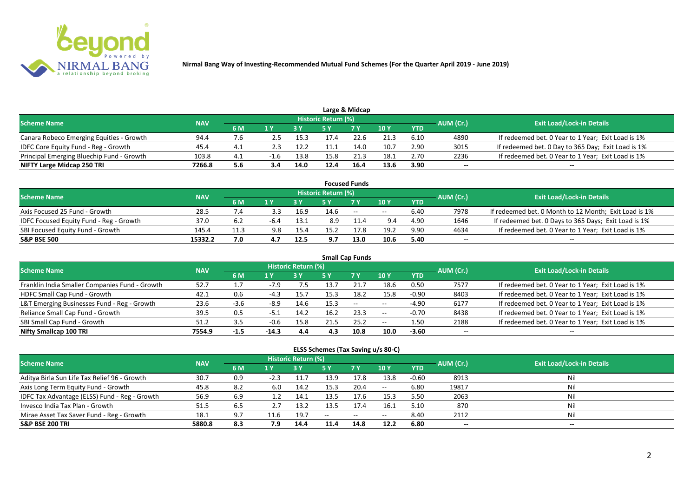

|                                           |            |     |     |      |                            | Large & Midcap |      |            |           |                                                    |
|-------------------------------------------|------------|-----|-----|------|----------------------------|----------------|------|------------|-----------|----------------------------------------------------|
| <b>Scheme Name</b>                        | <b>NAV</b> |     |     |      | <b>Historic Return (%)</b> |                |      |            | AUM (Cr.) | <b>Exit Load/Lock-in Details</b>                   |
|                                           |            | 6 M |     |      |                            | 7 V            | 10 Y | <b>YTD</b> |           |                                                    |
| Canara Robeco Emerging Equities - Growth  | 94.4       | 7.6 |     | 15.3 |                            | 22.G           | 21.3 | 6.10       | 4890      | If redeemed bet. 0 Year to 1 Year; Exit Load is 1% |
| IDFC Core Equity Fund - Reg - Growth      | 45.4       |     | 2.3 | 12.2 |                            | 14.0           | 10.7 | 2.90       | 3015      | If redeemed bet. 0 Day to 365 Day; Exit Load is 1% |
| Principal Emerging Bluechip Fund - Growth | 103.8      |     |     | 13.8 | 15.8                       | 21.3           | 18.1 | 2.70       | 2236      | If redeemed bet. 0 Year to 1 Year; Exit Load is 1% |
| NIFTY Large Midcap 250 TRI                | 7266.8     | 5.6 | 3.4 | 14.0 | 12.4                       | 16.4           | 13.6 | 3.90       | --        | $- -$                                              |

|                                                |            |      |         |      |                            | <b>Focused Funds</b> |             |            |           |                                                       |
|------------------------------------------------|------------|------|---------|------|----------------------------|----------------------|-------------|------------|-----------|-------------------------------------------------------|
| <b>Scheme Name</b>                             | <b>NAV</b> |      |         |      | <b>Historic Return (%)</b> |                      |             |            | AUM (Cr.) | <b>Exit Load/Lock-in Details</b>                      |
|                                                |            | 6 M  | $A$ $V$ |      |                            | 7 Y                  | <b>10 Y</b> | <b>YTD</b> |           |                                                       |
| Axis Focused 25 Fund - Growth                  | 28.5       | 7.4  |         | 16.9 | 14.6                       | $\sim$ $\sim$        | $- -$       | 6.40       | 7978      | If redeemed bet. 0 Month to 12 Month; Exit Load is 1% |
| <b>IDFC Focused Equity Fund - Reg - Growth</b> | 37.0       | 6.2  |         | 13.1 | 8.9                        |                      | 9.4         | 4.90       | 1646      | If redeemed bet. 0 Days to 365 Days; Exit Load is 1%  |
| SBI Focused Equity Fund - Growth               | 145.4      | 11.3 | 9.8     | 15.4 | 15.7                       |                      | 19.2        | 9.90       | 4634      | If redeemed bet. 0 Year to 1 Year; Exit Load is 1%    |
| <b>S&amp;P BSE 500</b>                         | 15332.2    | 7.0  |         | 12.5 | 9.7                        | 13.0                 | 10.6        | 5.40       | --        | --                                                    |

| <b>Small Cap Funds</b>                         |            |        |        |                     |      |           |       |            |           |                                                    |  |  |  |
|------------------------------------------------|------------|--------|--------|---------------------|------|-----------|-------|------------|-----------|----------------------------------------------------|--|--|--|
| <b>Scheme Name</b>                             | <b>NAV</b> |        |        | Historic Return (%) |      |           |       |            | AUM (Cr.) | <b>Exit Load/Lock-in Details</b>                   |  |  |  |
|                                                |            | 6 M    | 1 Y    |                     | 5 Y  | <b>7Y</b> | 10Y   | <b>YTD</b> |           |                                                    |  |  |  |
| Franklin India Smaller Companies Fund - Growth | 52.7       |        | $-7.9$ | 7.5                 | 13.  |           | 18.6  | 0.50       | 7577      | If redeemed bet. 0 Year to 1 Year; Exit Load is 1% |  |  |  |
| HDFC Small Cap Fund - Growth                   | 42.1       | 0.6    | $-4.3$ | 15.7                | 15.3 | 18.2      | 15.8  | $-0.90$    | 8403      | If redeemed bet. 0 Year to 1 Year; Exit Load is 1% |  |  |  |
| L&T Emerging Businesses Fund - Reg - Growth    | 23.6       | $-3.6$ | $-8.9$ | 14.6                | 15.3 | $\sim$    | $- -$ | $-4.90$    | 6177      | If redeemed bet. 0 Year to 1 Year; Exit Load is 1% |  |  |  |
| Reliance Small Cap Fund - Growth               | 39.5       | 0.5    | ב.כ-   | 14.2                | 16.2 | 23.3      | $- -$ | $-0.70$    | 8438      | If redeemed bet. 0 Year to 1 Year; Exit Load is 1% |  |  |  |
| SBI Small Cap Fund - Growth                    | 51.2       | 3.5    |        | 15.8                |      | 25.2      | $- -$ | 1.50       | 2188      | If redeemed bet. 0 Year to 1 Year; Exit Load is 1% |  |  |  |
| Nifty Smallcap 100 TRI                         | 7554.9     | -1.5   | -14.3  | 4.4                 | 4.3  | 10.8      | 10.0  | $-3.60$    | $- -$     | --                                                 |  |  |  |

#### **ELSS Schemes (Tax Saving u/s 80-C)**

| Scheme Name                                   | <b>NAV</b> |     |        | Historic Return (%) |       |            |               |            | AUM (Cr.) | <b>Exit Load/Lock-in Details</b> |
|-----------------------------------------------|------------|-----|--------|---------------------|-------|------------|---------------|------------|-----------|----------------------------------|
|                                               |            | 6 M |        |                     | 5 Y   | <b>7 Y</b> | $\sqrt{10}$ Y | <b>YTD</b> |           |                                  |
| Aditya Birla Sun Life Tax Relief 96 - Growth  | 30.7       | 0.9 | $-2.3$ | 11.7                | 13.9  | 17.8       | 13.8          | $-0.60$    | 8913      | Nil                              |
| Axis Long Term Equity Fund - Growth           | 45.8       | 8.2 | 6.0    | 14.2                | 15.3  | 20.4       | $- -$         | 6.80       | 19817     | Nil                              |
| IDFC Tax Advantage (ELSS) Fund - Reg - Growth | 56.9       | 6.9 |        | 14.1                | 13.5  | 17.6       | 15.3          | 5.50       | 2063      | Nil                              |
| Invesco India Tax Plan - Growth               | 51.5       | 6.5 |        | 13.2                | 13.5  | 17.4       | 16.1          | 5.10       | 870       | Nil                              |
| Mirae Asset Tax Saver Fund - Reg - Growth     | 18.1       | 9.7 | 11.6   | 19.7                | $- -$ | $ -$       | $- -$         | 8.40       | 2112      | Nil                              |
| <b>S&amp;P BSE 200 TRI</b>                    | 5880.8     | 8.3 | 7.9    | 14.4                | 11.4  | 14.8       | 12.2          | 6.80       | $- -$     | $- -$                            |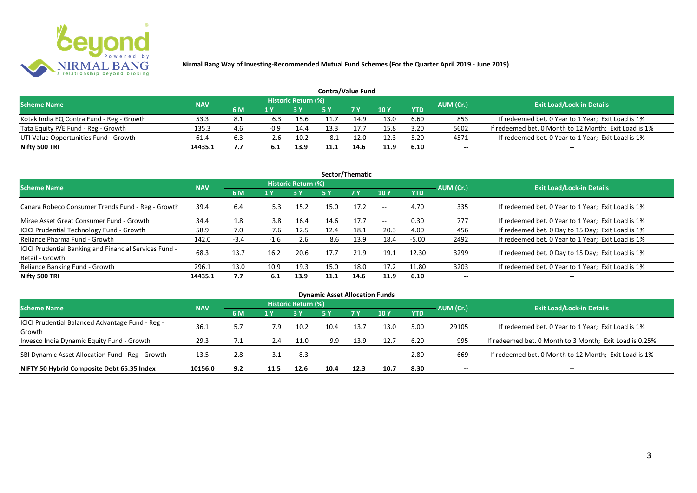

| <b>Contra/Value Fund</b>                  |            |     |        |                     |      |                |      |            |                          |                                                       |  |  |  |
|-------------------------------------------|------------|-----|--------|---------------------|------|----------------|------|------------|--------------------------|-------------------------------------------------------|--|--|--|
| <b>Scheme Name</b>                        | <b>NAV</b> |     |        | Historic Return (%) |      |                |      |            | AUM (Cr.)                | <b>Exit Load/Lock-in Details</b>                      |  |  |  |
|                                           |            | 6 M |        |                     |      | 7 <sub>Y</sub> | 10 Y | <b>YTD</b> |                          |                                                       |  |  |  |
| Kotak India EQ Contra Fund - Reg - Growth | 53.:       |     | 6.3    | 15.6                |      | 14.9           | 13.0 | 6.60       | 853                      | If redeemed bet. 0 Year to 1 Year; Exit Load is 1%    |  |  |  |
| Tata Equity P/E Fund - Reg - Growth       | 135.3      | 4.6 | $-0.9$ | 14.4                | 13.3 |                | 15.8 | 3.20       | 5602                     | If redeemed bet. 0 Month to 12 Month; Exit Load is 1% |  |  |  |
| UTI Value Opportunities Fund - Growth     | 61.4       | 6.3 | 2.6    | 10.2                | 8.1  | 12.0           | 12.3 | 5.20       | 4571                     | If redeemed bet. 0 Year to 1 Year; Exit Load is 1%    |  |  |  |
| Nifty 500 TRI                             | 14435.1    |     |        | 13.9                |      | 14.6           | 11.9 | 6.10       | $\overline{\phantom{a}}$ | $- -$                                                 |  |  |  |

| Sector/Thematic                                                           |            |        |        |                            |      |           |            |            |           |                                                    |  |  |  |
|---------------------------------------------------------------------------|------------|--------|--------|----------------------------|------|-----------|------------|------------|-----------|----------------------------------------------------|--|--|--|
| <b>Scheme Name</b>                                                        | <b>NAV</b> |        |        | <b>Historic Return (%)</b> |      |           |            |            | AUM (Cr.) | <b>Exit Load/Lock-in Details</b>                   |  |  |  |
|                                                                           |            | 6 M    | 1 Y    | 3 Y                        | 5 Y  | <b>7Y</b> | <b>10Y</b> | <b>YTD</b> |           |                                                    |  |  |  |
| Canara Robeco Consumer Trends Fund - Reg - Growth                         | 39.4       | 6.4    | 5.3    | 15.2                       | 15.0 | 17.2      | $\sim$ $-$ | 4.70       | 335       | If redeemed bet. 0 Year to 1 Year; Exit Load is 1% |  |  |  |
| Mirae Asset Great Consumer Fund - Growth                                  | 34.4       | 1.8    | 3.8    | 16.4                       | 14.6 | 17.7      | $- -$      | 0.30       | 777       | If redeemed bet. 0 Year to 1 Year; Exit Load is 1% |  |  |  |
| <b>ICICI Prudential Technology Fund - Growth</b>                          | 58.9       | 7.0    | 7.6    | 12.5                       | 12.4 | 18.1      | 20.3       | 4.00       | 456       | If redeemed bet. 0 Day to 15 Day; Exit Load is 1%  |  |  |  |
| Reliance Pharma Fund - Growth                                             | 142.0      | $-3.4$ | $-1.6$ | 2.6                        | 8.6  | 13.9      | 18.4       | $-5.00$    | 2492      | If redeemed bet. 0 Year to 1 Year; Exit Load is 1% |  |  |  |
| ICICI Prudential Banking and Financial Services Fund -<br>Retail - Growth | 68.3       | 13.7   | 16.2   | 20.6                       | 17.7 | 21.9      | 19.1       | 12.30      | 3299      | If redeemed bet. 0 Day to 15 Day; Exit Load is 1%  |  |  |  |
| Reliance Banking Fund - Growth                                            | 296.1      | 13.0   | 10.9   | 19.3                       | 15.0 | 18.0      | 17.2       | 11.80      | 3203      | If redeemed bet. 0 Year to 1 Year; Exit Load is 1% |  |  |  |
| Nifty 500 TRI                                                             | 14435.1    | 7.7    | 6.1    | 13.9                       | 11.1 | 14.6      | 11.9       | 6.10       | $- -$     | $\overline{\phantom{a}}$                           |  |  |  |

| <b>Dynamic Asset Allocation Funds</b>            |            |     |      |                            |                   |            |            |           |       |                                                         |  |  |  |
|--------------------------------------------------|------------|-----|------|----------------------------|-------------------|------------|------------|-----------|-------|---------------------------------------------------------|--|--|--|
| <b>Scheme Name</b>                               | <b>NAV</b> |     |      | <b>Historic Return (%)</b> |                   |            |            |           |       | <b>Exit Load/Lock-in Details</b>                        |  |  |  |
|                                                  | 6 M        | 1 Y |      | <b>5 Y</b>                 | <b>7Y</b>         | <b>10Y</b> | <b>YTD</b> | AUM (Cr.) |       |                                                         |  |  |  |
| ICICI Prudential Balanced Advantage Fund - Reg - | 36.1       | 5.7 | 7.9  | 10.2                       | 10.4              | 13.7       | 13.0       | 5.00      | 29105 | If redeemed bet. 0 Year to 1 Year; Exit Load is 1%      |  |  |  |
| Growth                                           |            |     |      |                            |                   |            |            |           |       |                                                         |  |  |  |
| Invesco India Dynamic Equity Fund - Growth       | 29.3       | 7.1 | 2.4  | 11.0                       | 9.9               | 13.9       | 12.7       | 6.20      | 995   | If redeemed bet. 0 Month to 3 Month; Exit Load is 0.25% |  |  |  |
| SBI Dynamic Asset Allocation Fund - Reg - Growth | 13.5       | 2.8 | 3.1  | 8.3                        | $\hspace{0.05cm}$ | $\sim$     | $- -$      | 2.80      | 669   | If redeemed bet. 0 Month to 12 Month; Exit Load is 1%   |  |  |  |
| NIFTY 50 Hybrid Composite Debt 65:35 Index       | 10156.0    | 9.2 | 11.5 | 12.6                       | 10.4              | 12.3       | 10.7       | 8.30      | --    | $- -$                                                   |  |  |  |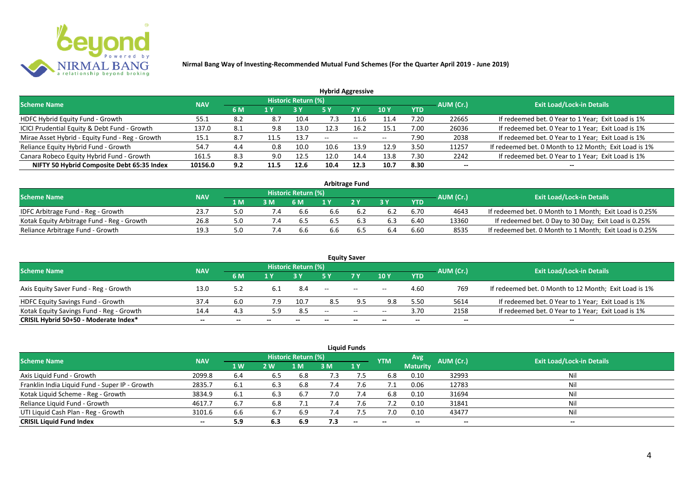

| <b>Hybrid Aggressive</b>                        |            |      |      |                            |      |        |       |            |           |                                                       |  |  |  |
|-------------------------------------------------|------------|------|------|----------------------------|------|--------|-------|------------|-----------|-------------------------------------------------------|--|--|--|
| <b>Scheme Name</b>                              | <b>NAV</b> |      |      | <b>Historic Return (%)</b> |      |        |       |            | AUM (Cr.) | <b>Exit Load/Lock-in Details</b>                      |  |  |  |
|                                                 |            | 6 M  | 1 Y  |                            | 5 Y  | 7 Y    | 10 Y  | <b>YTD</b> |           |                                                       |  |  |  |
| HDFC Hybrid Equity Fund - Growth                | 55.1       | 8.2  | 8.7  | 10.4                       | '.3  |        | 11.4  | 7.20       | 22665     | If redeemed bet. 0 Year to 1 Year; Exit Load is 1%    |  |  |  |
| ICICI Prudential Equity & Debt Fund - Growth    | 137.0      | -8.1 | 9.8  | 13.0                       | 12.3 | 16.2   | 15.1  | 7.00       | 26036     | If redeemed bet. 0 Year to 1 Year; Exit Load is 1%    |  |  |  |
| Mirae Asset Hybrid - Equity Fund - Reg - Growth | 15.1       | -8.7 |      | 13.7                       | $-$  | $\sim$ | $- -$ | 7.90       | 2038      | If redeemed bet. 0 Year to 1 Year; Exit Load is 1%    |  |  |  |
| Reliance Equity Hybrid Fund - Growth            | 54.7       | 4.4  | 0.8  | 10.0                       | 10.6 | 13.9   | 12.9  | 3.50       | 11257     | If redeemed bet. 0 Month to 12 Month; Exit Load is 1% |  |  |  |
| Canara Robeco Equity Hybrid Fund - Growth       | 161.5      | 8.3  | 9.0  | 12.5                       | 12.0 | 14.4   | 13.8  | 7.30       | 2242      | If redeemed bet. 0 Year to 1 Year; Exit Load is 1%    |  |  |  |
| NIFTY 50 Hybrid Composite Debt 65:35 Index      | 10156.0    | 9.2  | 11.5 | 12.6                       | 10.4 | 12.3   | 10.7  | 8.30       | --        |                                                       |  |  |  |
|                                                 |            |      |      |                            |      |        |       |            |           |                                                       |  |  |  |

| <b>Arbitrage Fund</b>                      |            |      |                |                            |     |     |     |            |           |                                                         |  |  |  |
|--------------------------------------------|------------|------|----------------|----------------------------|-----|-----|-----|------------|-----------|---------------------------------------------------------|--|--|--|
| <b>Scheme Name</b>                         | <b>NAV</b> |      |                | <b>Historic Return (%)</b> |     |     |     |            | AUM (Cr.) | <b>Exit Load/Lock-in Details</b>                        |  |  |  |
|                                            |            | 1 M. |                | 6 M                        |     | 2V  |     | <b>YTD</b> |           |                                                         |  |  |  |
| IDFC Arbitrage Fund - Reg - Growth         | 23.7       |      |                |                            | p.b |     | 6.2 | 6.70       | 4643      | If redeemed bet. 0 Month to 1 Month; Exit Load is 0.25% |  |  |  |
| Kotak Equity Arbitrage Fund - Reg - Growth | 26.8       | 5.0  | $^{\prime}$ .4 | b.5                        | 6.5 | 6.3 | 6.3 | 6.40       | 13360     | If redeemed bet. 0 Day to 30 Day; Exit Load is 0.25%    |  |  |  |
| Reliance Arbitrage Fund - Growth           | 19.3       |      |                |                            | d.c |     | 6.4 | 6.60       | 8535      | If redeemed bet. 0 Month to 1 Month; Exit Load is 0.25% |  |  |  |

|                                          |            |       |       |                            |                   | <b>Equity Saver</b> |                          |            |                          |                                                       |
|------------------------------------------|------------|-------|-------|----------------------------|-------------------|---------------------|--------------------------|------------|--------------------------|-------------------------------------------------------|
| <b>Scheme Name</b>                       | <b>NAV</b> |       |       | <b>Historic Return (%)</b> |                   |                     |                          |            | AUM (Cr.)                | <b>Exit Load/Lock-in Details</b>                      |
|                                          |            | 6 M   |       |                            |                   | <b>7Y</b>           | 10Y                      | <b>YTD</b> |                          |                                                       |
| Axis Equity Saver Fund - Reg - Growth    | 13.0       |       | 6.1   | 8.4                        | $\hspace{0.05cm}$ | $\sim$              | $ -$                     | 4.60       | 769                      | If redeemed bet. 0 Month to 12 Month; Exit Load is 1% |
| HDFC Equity Savings Fund - Growth        | 37.4       | 6.0   | 7.9   | 10.7                       | 8.5               |                     | 9.8                      | 5.5C       | 5614                     | If redeemed bet. 0 Year to 1 Year; Exit Load is 1%    |
| Kotak Equity Savings Fund - Reg - Growth | 14.4       | 4.3   | 5.9   | 8.5                        | --                | $  \,$              | $- -$                    | 3.70       | 2158                     | If redeemed bet. 0 Year to 1 Year; Exit Load is 1%    |
| CRISIL Hybrid 50+50 - Moderate Index*    | $- -$      | $- -$ | $- -$ | $- -$                      |                   | $- -$               | $\overline{\phantom{a}}$ | $- -$      | $\overline{\phantom{a}}$ | $- -$                                                 |

|                                                |            |     |      |                            |     | <b>Liquid Funds</b> |            |                 |           |                                  |
|------------------------------------------------|------------|-----|------|----------------------------|-----|---------------------|------------|-----------------|-----------|----------------------------------|
| <b>Scheme Name</b>                             | <b>NAV</b> |     |      | <b>Historic Return (%)</b> |     |                     | <b>YTM</b> | Avg             | AUM (Cr.) | <b>Exit Load/Lock-in Details</b> |
|                                                |            | 1 W | 2 W. | 1 M                        | 3 M | <b>71 Y</b>         |            | <b>Maturity</b> |           |                                  |
| Axis Liquid Fund - Growth                      | 2099.8     | 6.4 | 6.5  | 6.8                        | 7.3 | 7.5                 | 6.8        | 0.10            | 32993     | Nil                              |
| Franklin India Liquid Fund - Super IP - Growth | 2835.7     | 6.1 | 6.3  | 6.8                        | 7.4 | 7.6                 |            | 0.06            | 12783     | Nil                              |
| Kotak Liquid Scheme - Reg - Growth             | 3834.9     | 6.1 | 6.3  | 6.7                        | 7.0 | 7.4                 | 6.8        | 0.10            | 31694     | Nil                              |
| Reliance Liquid Fund - Growth                  | 4617.7     | 6.7 | 6.8  |                            | 7.4 | 7.b                 | 7.2        | 0.10            | 31841     | Nil                              |
| UTI Liquid Cash Plan - Reg - Growth            | 3101.6     | 6.6 | 6.7  | 6.9                        | 7.4 |                     | 7.0        | 0.10            | 43477     | Nil                              |
| <b>CRISIL Liquid Fund Index</b>                | $- -$      | 5.9 | 6.3  | 6.9                        | 7.3 | $- -$               | $- -$      | $- -$           | $- -$     | $\sim$                           |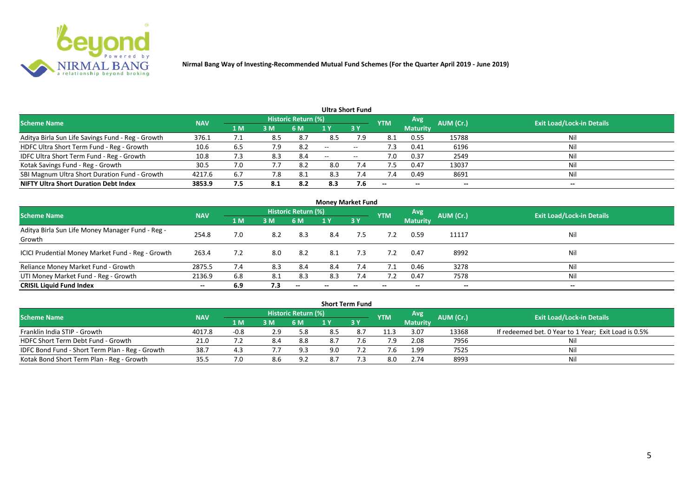

|                                                   |            |                |     |                            |                          | <b>Ultra Short Fund</b>  |            |                 |           |                                  |
|---------------------------------------------------|------------|----------------|-----|----------------------------|--------------------------|--------------------------|------------|-----------------|-----------|----------------------------------|
| <b>Scheme Name</b>                                | <b>NAV</b> |                |     | <b>Historic Return (%)</b> |                          |                          | <b>YTM</b> | Avg             | AUM (Cr.) | <b>Exit Load/Lock-in Details</b> |
|                                                   |            | 1 <sub>M</sub> | 3 M | 6 M                        |                          | 3Y                       |            | <b>Maturity</b> |           |                                  |
| Aditya Birla Sun Life Savings Fund - Reg - Growth | 376.1      | 7.1            | 8.5 | 8.7                        | 8.5                      | 7.9                      | 8.1        | 0.55            | 15788     | Nil                              |
| HDFC Ultra Short Term Fund - Reg - Growth         | 10.6       | 6.5            | 7.9 | 8.2                        | $\overline{\phantom{a}}$ | $- -$                    | د. ا       | 0.41            | 6196      | Nil                              |
| IDFC Ultra Short Term Fund - Reg - Growth         | 10.8       | 7.3            | 8.3 | 8.4                        | $\overline{\phantom{a}}$ | $\overline{\phantom{a}}$ | 7.0        | 0.37            | 2549      | Nil                              |
| Kotak Savings Fund - Reg - Growth                 | 30.5       | 7.0            | 7.7 | -8.2                       | 8.0                      | 7.4                      | 7.5        | 0.47            | 13037     | Nil                              |
| SBI Magnum Ultra Short Duration Fund - Growth     | 4217.6     | 6.7            | 7.8 | -8.1                       | 8.3                      | 7.4                      | 7.4        | 0.49            | 8691      | Nil                              |
| <b>NIFTY Ultra Short Duration Debt Index</b>      | 3853.9     | 7.5            | 8.1 | 8.2                        | 8.3                      | 7.6                      | $- -$      | $- -$           | --        | $- -$                            |

| <b>Money Market Fund</b>                                   |            |     |     |                          |     |     |            |                 |           |                                  |  |  |  |
|------------------------------------------------------------|------------|-----|-----|--------------------------|-----|-----|------------|-----------------|-----------|----------------------------------|--|--|--|
| <b>Scheme Name</b>                                         | <b>NAV</b> |     |     | Historic Return (%)      |     |     | <b>YTM</b> | Avg             | AUM (Cr.) | <b>Exit Load/Lock-in Details</b> |  |  |  |
|                                                            |            | 1 M | 3M  | 6 M                      | 1 Y | 3Y  |            | <b>Maturity</b> |           |                                  |  |  |  |
| Aditya Birla Sun Life Money Manager Fund - Reg -<br>Growth | 254.8      | 7.0 | 8.2 | 8.3                      | 8.4 | 7.5 | 7.2        | 0.59            | 11117     | Nil                              |  |  |  |
| ICICI Prudential Money Market Fund - Reg - Growth          | 263.4      | 7.2 | 8.0 | 8.2                      | 8.1 | 7.3 | 7.2        | 0.47            | 8992      | Nil                              |  |  |  |
| Reliance Money Market Fund - Growth                        | 2875.5     | 7.4 | 8.3 | 8.4                      | 8.4 | 7.4 | 7.1        | 0.46            | 3278      | Nil                              |  |  |  |
| UTI Money Market Fund - Reg - Growth                       | 2136.9     | 6.8 | 8.1 | 8.3                      | 8.3 | 7.4 | 7.2        | 0.47            | 7578      | Nil                              |  |  |  |
| <b>CRISIL Liquid Fund Index</b>                            | $- -$      | 6.9 | 7.3 | $\overline{\phantom{a}}$ |     | --  |            | --              | $- -$     | $- -$                            |  |  |  |

| <b>Short Term Fund</b>                          |            |        |     |                            |     |             |            |                 |           |                                                      |  |  |  |
|-------------------------------------------------|------------|--------|-----|----------------------------|-----|-------------|------------|-----------------|-----------|------------------------------------------------------|--|--|--|
| <b>Scheme Name</b>                              | <b>NAV</b> |        |     | <b>Historic Return (%)</b> |     |             | <b>YTM</b> | Avg             | AUM (Cr.) | <b>Exit Load/Lock-in Details</b>                     |  |  |  |
|                                                 |            | 4 M /  | 3 M | 6 M                        |     | <b>23 V</b> |            | <b>Maturity</b> |           |                                                      |  |  |  |
| Franklin India STIP - Growth                    | 4017.8     | $-0.8$ | 2.9 | 5.8                        | 8.5 |             | 11.3       | 3.07            | 13368     | If redeemed bet. 0 Year to 1 Year; Exit Load is 0.5% |  |  |  |
| HDFC Short Term Debt Fund - Growth              | 21.0       |        | 8.4 | 8.8                        | 8.7 | 7.6         | 7.9        | 2.08            | 7956      |                                                      |  |  |  |
| IDFC Bond Fund - Short Term Plan - Reg - Growth | 38.7       |        |     | 9.3                        | 9.0 |             |            | 1.99            | 7525      | Nil                                                  |  |  |  |
| Kotak Bond Short Term Plan - Reg - Growth       | 35.5       |        | 8.6 | 9.2                        |     |             | 8.0        | 2.74            | 8993      | Nil                                                  |  |  |  |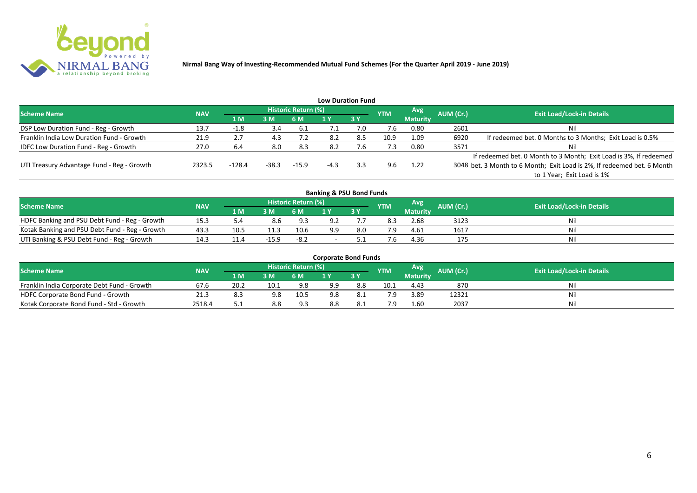

|                                              |            |          |       |                     |        | <b>Low Duration Fund</b> |            |                 |           |                                                                         |
|----------------------------------------------|------------|----------|-------|---------------------|--------|--------------------------|------------|-----------------|-----------|-------------------------------------------------------------------------|
| <b>Scheme Name</b>                           | <b>NAV</b> |          |       | Historic Return (%) |        |                          | <b>YTM</b> | Avg             | AUM (Cr.) | <b>Exit Load/Lock-in Details</b>                                        |
|                                              |            | 71 M.    | 3M    | 6 M                 |        | 3Y                       |            | <b>Maturity</b> |           |                                                                         |
| DSP Low Duration Fund - Reg - Growth         | 13.7       | -1.8     | 3.4   | 6.1                 | ـ. /   | 7.0                      | 7.6        | 0.80            | 2601      | Nil                                                                     |
| Franklin India Low Duration Fund - Growth    | 21.9       | 2.7      | 4.3   | 7.2                 | 8.2    | 8.5                      | 10.9       | 1.09            | 6920      | If redeemed bet. 0 Months to 3 Months; Exit Load is 0.5%                |
| <b>IDFC Low Duration Fund - Reg - Growth</b> | 27.0       | 6.4      | 8.0   | 8.3                 | 8.2    | 4.6                      | 7.3        | 0.80            | 3571      | Nil                                                                     |
|                                              |            |          |       |                     |        |                          |            |                 |           | If redeemed bet. 0 Month to 3 Month; Exit Load is 3%, If redeemed       |
| UTI Treasury Advantage Fund - Reg - Growth   | 2323.5     | $-128.4$ | -38.3 | $-15.9$             | $-4.3$ | 3.3                      | 9.6        | 1.22            |           | 3048 bet. 3 Month to 6 Month; Exit Load is 2%, If redeemed bet. 6 Month |
|                                              |            |          |       |                     |        |                          |            |                 |           | to 1 Year; Exit Load is 1%                                              |
|                                              |            |          |       |                     |        |                          |            |                 |           |                                                                         |

| <b>Banking &amp; PSU Bond Funds</b>            |            |      |         |                     |     |     |            |                 |           |                                  |  |  |  |
|------------------------------------------------|------------|------|---------|---------------------|-----|-----|------------|-----------------|-----------|----------------------------------|--|--|--|
| <b>Scheme Name</b>                             | <b>NAV</b> |      |         | Historic Return (%) |     |     | <b>YTM</b> | Avg             | AUM (Cr.) | <b>Exit Load/Lock-in Details</b> |  |  |  |
|                                                |            | 1 M  | 3 M     | 6 M                 |     | 3Y  |            | <b>Maturity</b> |           |                                  |  |  |  |
| HDFC Banking and PSU Debt Fund - Reg - Growth  | 15.3       |      | 8.6     | 9.3                 |     |     | 8.3        | 2.68            | 3123      | Nil                              |  |  |  |
| Kotak Banking and PSU Debt Fund - Reg - Growth | 43.3       | 10.5 |         | 10.6                | 9.9 | 8.0 |            | 4.61            | 1617      | Nil                              |  |  |  |
| UTI Banking & PSU Debt Fund - Reg - Growth     |            | 11.4 | $-15.9$ | $-8.2$              |     |     |            | 4.36            | 175       | Nil                              |  |  |  |

| <b>Corporate Bond Funds</b>                 |            |       |      |                            |     |       |            |                 |           |                                  |  |  |  |
|---------------------------------------------|------------|-------|------|----------------------------|-----|-------|------------|-----------------|-----------|----------------------------------|--|--|--|
| <b>Scheme Name</b>                          | <b>NAV</b> |       |      | <b>Historic Return (%)</b> |     |       | <b>YTM</b> | Avg             | AUM (Cr.) | <b>Exit Load/Lock-in Details</b> |  |  |  |
|                                             |            | 1 M.  | 3 M  | 6 M                        |     | 73 Y. |            | <b>Maturity</b> |           |                                  |  |  |  |
| Franklin India Corporate Debt Fund - Growth | 67.6       | 20.2  | 10.1 | 9.8                        | 9.9 | 8.8   | 10.1       | 4.43            | 870       | Nil                              |  |  |  |
| HDFC Corporate Bond Fund - Growth           | 21.3       |       |      | 10.5                       | 9.8 | -8.1  | 7.9        | 3.89            | 12321     | Nil                              |  |  |  |
| Kotak Corporate Bond Fund - Std - Growth    | 2518.4     | ـ . ـ | 8.8  | 9.3                        | 8.8 |       | 7.9        | 1.60            | 2037      | Nil                              |  |  |  |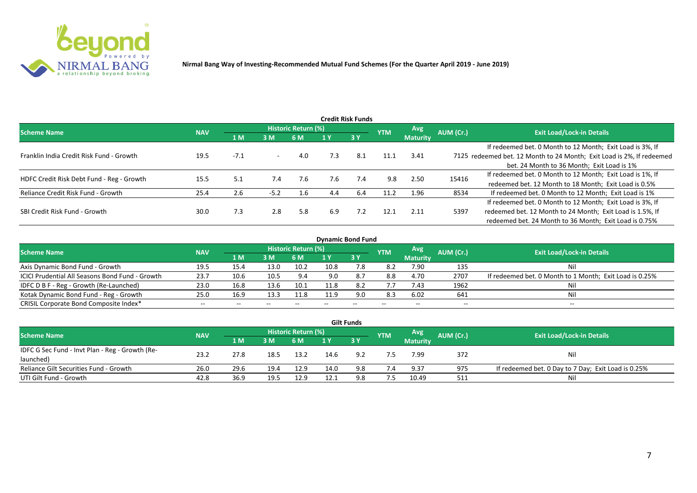

|                                           |            |        |                          |                     |     | <b>Credit Risk Funds</b> |            |                 |           |                                                                       |
|-------------------------------------------|------------|--------|--------------------------|---------------------|-----|--------------------------|------------|-----------------|-----------|-----------------------------------------------------------------------|
| <b>Scheme Name</b>                        | <b>NAV</b> |        |                          | Historic Return (%) |     |                          | <b>YTM</b> | Avg.            | AUM (Cr.) | <b>Exit Load/Lock-in Details</b>                                      |
|                                           |            | 1 M    | 3M                       | 6 M                 |     | 3 Y                      |            | <b>Maturity</b> |           |                                                                       |
|                                           |            |        |                          |                     |     |                          |            |                 |           | If redeemed bet. 0 Month to 12 Month; Exit Load is 3%, If             |
| Franklin India Credit Risk Fund - Growth  | 19.5       | $-7.1$ | $\overline{\phantom{a}}$ | 4.0                 | 7.3 | 8.1                      | 11.1       | 3.41            |           | 7125 redeemed bet. 12 Month to 24 Month; Exit Load is 2%, If redeemed |
|                                           |            |        |                          |                     |     |                          |            |                 |           | bet. 24 Month to 36 Month; Exit Load is 1%                            |
| HDFC Credit Risk Debt Fund - Reg - Growth | 15.5       | 5.1    | 7.4                      | 7.6                 | 7.6 | 7.4                      | 9.8        | 2.50            | 15416     | If redeemed bet. 0 Month to 12 Month; Exit Load is 1%, If             |
|                                           |            |        |                          |                     |     |                          |            |                 |           | redeemed bet. 12 Month to 18 Month; Exit Load is 0.5%                 |
| Reliance Credit Risk Fund - Growth        | 25.4       | 2.6    | $-5.2$                   | 1.6                 | 4.4 | 6.4                      | 11.2       | 1.96            | 8534      | If redeemed bet. 0 Month to 12 Month; Exit Load is 1%                 |
|                                           |            |        |                          |                     |     |                          |            |                 |           | If redeemed bet. 0 Month to 12 Month; Exit Load is 3%, If             |
| SBI Credit Risk Fund - Growth             | 30.0       | 7.3    | 2.8                      | 5.8                 | 6.9 | 7.2                      | 12.1       | 2.11            | 5397      | redeemed bet. 12 Month to 24 Month; Exit Load is 1.5%, If             |
|                                           |            |        |                          |                     |     |                          |            |                 |           | redeemed bet. 24 Month to 36 Month; Exit Load is 0.75%                |

| <b>Dynamic Bond Fund</b>                        |            |       |       |                            |      |       |            |                 |           |                                                         |  |  |  |  |
|-------------------------------------------------|------------|-------|-------|----------------------------|------|-------|------------|-----------------|-----------|---------------------------------------------------------|--|--|--|--|
| <b>Scheme Name</b>                              | <b>NAV</b> |       |       | <b>Historic Return (%)</b> |      |       | <b>YTM</b> | Avg             | AUM (Cr.) | <b>Exit Load/Lock-in Details</b>                        |  |  |  |  |
|                                                 |            | 1 M   | 3M    | 6 M                        |      | 3Y    |            | <b>Maturity</b> |           |                                                         |  |  |  |  |
| Axis Dynamic Bond Fund - Growth                 | 19.5       | 15.4  | 13.0  | 10.2                       | 10.8 | 7.8   | 8.2        | 7.90            | 135       | Nil                                                     |  |  |  |  |
| ICICI Prudential All Seasons Bond Fund - Growth | 23.7       | 10.6  | 10.5  | 9.4                        | 9.0  | 8.7   | 8.8        | 4.70            | 2707      | If redeemed bet. 0 Month to 1 Month; Exit Load is 0.25% |  |  |  |  |
| IDFC D B F - Reg - Growth (Re-Launched)         | 23.0       | 16.8  | 13.6  | 10.1                       | 11.8 | 8.2   | 7.7        | 7.43            | 1962      |                                                         |  |  |  |  |
| Kotak Dynamic Bond Fund - Reg - Growth          | 25.0       | 16.9  | 13.3  | 11.8                       | 11.9 | 9.0   | 8.3        | 6.02            | 641       |                                                         |  |  |  |  |
| CRISIL Corporate Bond Composite Index*          | $- -$      | $- -$ | $- -$ |                            | --   | $- -$ |            | $- -$           | $- -$     | $- -$                                                   |  |  |  |  |

|                                                 |            |       |      |                            |      | <b>Gilt Funds</b> |            |                 |           |                                                     |
|-------------------------------------------------|------------|-------|------|----------------------------|------|-------------------|------------|-----------------|-----------|-----------------------------------------------------|
| <b>Scheme Name</b>                              | <b>NAV</b> |       |      | <b>Historic Return (%)</b> |      |                   | <b>YTM</b> | <b>Avg</b>      | AUM (Cr.) | <b>Exit Load/Lock-in Details</b>                    |
|                                                 |            | 4 M / | 3M   | 6 M                        |      | $-3V$             |            | <b>Maturity</b> |           |                                                     |
| IDFC G Sec Fund - Invt Plan - Reg - Growth (Re- | 23.2       |       |      |                            | 14.6 | 9.2               |            | 7.99            | 372       |                                                     |
| launched)                                       |            | 27.8  | 18.5 | 13.2                       |      |                   |            |                 |           | Nil                                                 |
| Reliance Gilt Securities Fund - Growth          | 26.0       | 29.6  | 19.4 | 12.9                       | 14.0 | 9.8               | 7.4        | 9.37            | 975       | If redeemed bet. 0 Day to 7 Day; Exit Load is 0.25% |
| UTI Gilt Fund - Growth                          | 42.8       | 36.9  | 19.5 | 12.9                       | 12.1 | 9.8               | 7.5        | 10.49           | 511       | Nil                                                 |